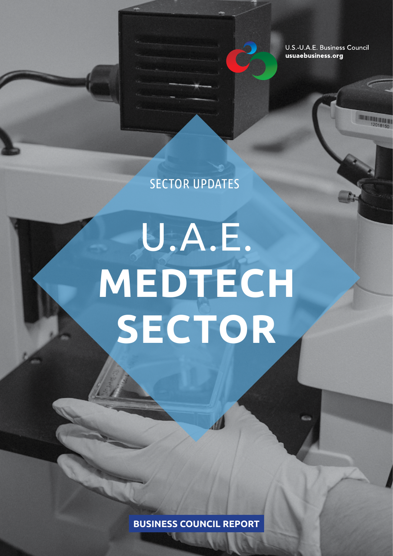U.S.-U.A.E. Business Council usuaebusiness.org

**THE REAL PROPERTY** 

SECTOR UPDATES

# U.A.E. **MEDTECH SECTOR**

**BUSINESS COUNCIL REPORT**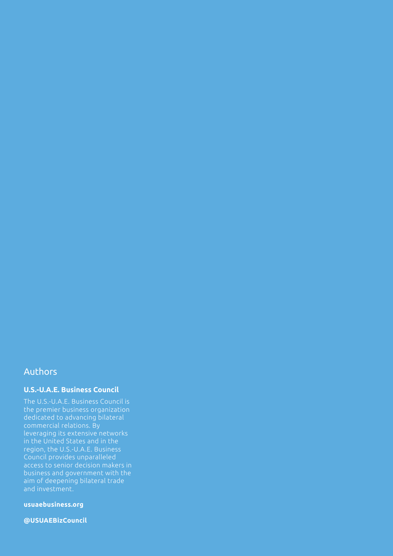#### Authors

#### **U.S.-U.A.E. Business Council**

The U.S.-U.A.E. Business Council is the premier business organization dedicated to advancing bilateral commercial relations. By leveraging its extensive networks in the United States and in the region, the U.S.-U.A.E. Business Council provides unparalleled access to senior decision makers in business and government with the aim of deepening bilateral trade and investment.

**usuaebusiness.org**

**@USUAEBizCouncil**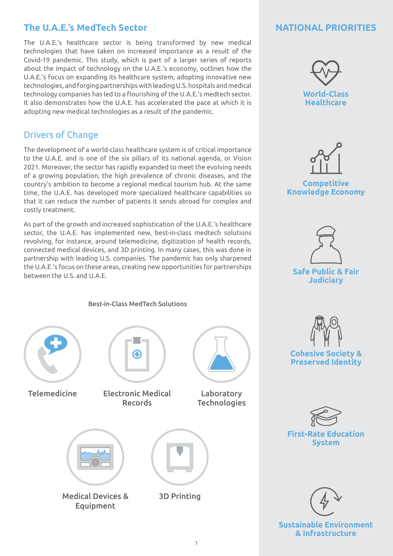## **The U.A.E.'s MedTech Sector**

The U.A.E.'s healthcare sector is being transformed by new medical technologies that have taken on increased importance as a result of the Covid-19 pandemic. This study, which is part of a larger series of reports about the impact of technology on the U.A.E.'s economy, outlines how the U.A.E.'s focus on expanding its healthcare system, adopting innovative new technologies, and forging partnerships with leading U.S. hospitals and medical technology companies has led to a flourishing of the U.A.E.'s medtech sector. It also demonstrates how the U.A.E. has accelerated the pace at which it is adopting new medical technologies as a result of the pandemic.

### Drivers of Change

The development of a world-class healthcare system is of critical importance to the U.A.E. and is one of the six pillars of its national agenda, or Vision 2021. Moreover, the sector has rapidly expanded to meet the evolving needs of a growing population, the high prevalence of chronic diseases, and the country's ambition to become a regional medical tourism hub. At the same time, the U.A.E. has developed more specialized healthcare capabilities so that it can reduce the number of patients it sends abroad for complex and costly treatment.

As part of the growth and increased sophistication of the U.A.E.'s healthcare sector, the U.A.E. has implemented new, best-in-class medtech solutions revolving, for instance, around telemedicine, digitization of health records, connected medical devices, and 3D printing. In many cases, this was done in partnership with leading U.S. companies. The pandemic has only sharpened the U.A.E.'s focus on these areas, creating new opportunities for partnerships between the U.S. and U.A.E.

#### **NATIONAL PRIORITIES**



**Competitive Knowledge Economy**





**Cohesive Society & Preserved Identity** 

**First-Rate Education** 

**System**



**Sustainable Environment & Infrastructure**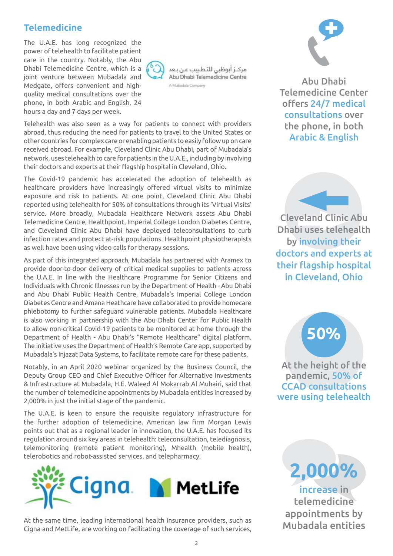#### **Telemedicine**

The U.A.E. has long recognized the power of telehealth to facilitate patient care in the country. Notably, the Abu Dhabi Telemedicine Centre, which is a joint venture between Mubadala and Medgate, offers convenient and highquality medical consultations over the phone, in both Arabic and English, 24 hours a day and 7 days per week.



مركـز أبوظبي للتطيبب عن بعد Abu Dhabi Telemedicine Centre A Mubadala Company



Abu Dhabi Telemedicine Center offers 24/7 medical consultations over the phone, in both Arabic & English

The Covid-19 pandemic has accelerated the adoption of telehealth as healthcare providers have increasingly offered virtual visits to minimize exposure and risk to patients. At one point, Cleveland Clinic Abu Dhabi reported using telehealth for 50% of consultations through its 'Virtual Visits' service. More broadly, Mubadala Healthcare Network assets Abu Dhabi Telemedicine Centre, Healthpoint, Imperial College London Diabetes Centre, and Cleveland Clinic Abu Dhabi have deployed teleconsultations to curb infection rates and protect at-risk populations. Healthpoint physiotherapists as well have been using video calls for therapy sessions.

Telehealth was also seen as a way for patients to connect with providers abroad, thus reducing the need for patients to travel to the United States or other countries for complex care or enabling patients to easily follow up on care received abroad. For example, Cleveland Clinic Abu Dhabi, part of Mubadala's network, uses telehealth to care for patients in the U.A.E., including by involving

their doctors and experts at their flagship hospital in Cleveland, Ohio.

As part of this integrated approach, Mubadala has partnered with Aramex to provide door-to-door delivery of critical medical supplies to patients across the U.A.E. In line with the Healthcare Programme for Senior Citizens and Individuals with Chronic Illnesses run by the Department of Health - Abu Dhabi and Abu Dhabi Public Health Centre, Mubadala's Imperial College London Diabetes Centre and Amana Heathcare have collaborated to provide homecare phlebotomy to further safeguard vulnerable patients. Mubadala Healthcare is also working in partnership with the Abu Dhabi Center for Public Health to allow non-critical Covid-19 patients to be monitored at home through the Department of Health - Abu Dhabi's "Remote Healthcare" digital platform. The initiative uses the Department of Health's Remote Care app, supported by Mubadala's Injazat Data Systems, to facilitate remote care for these patients.

Notably, in an April 2020 webinar organized by the Business Council, the Deputy Group CEO and Chief Executive Officer for Alternative Investments & Infrastructure at Mubadala, H.E. Waleed Al Mokarrab Al Muhairi, said that the number of telemedicine appointments by Mubadala entities increased by 2,000% in just the initial stage of the pandemic.

The U.A.E. is keen to ensure the requisite regulatory infrastructure for the further adoption of telemedicine. American law firm Morgan Lewis points out that as a regional leader in innovation, the U.A.E. has focused its regulation around six key areas in telehealth: teleconsultation, telediagnosis, telemonitoring (remote patient monitoring), Mhealth (mobile health), telerobotics and robot-assisted services, and telepharmacy.



At the same time, leading international health insurance providers, such as Cigna and MetLife, are working on facilitating the coverage of such services,

**50%** Dhabi uses telehealth Cleveland Clinic Abu by involving their doctors and experts at their flagship hospital in Cleveland, Ohio

# **50%**

At the height of the pandemic, 50% of CCAD consultations were using telehealth

**2,000%** increase in telemedicine appointments by Mubadala entities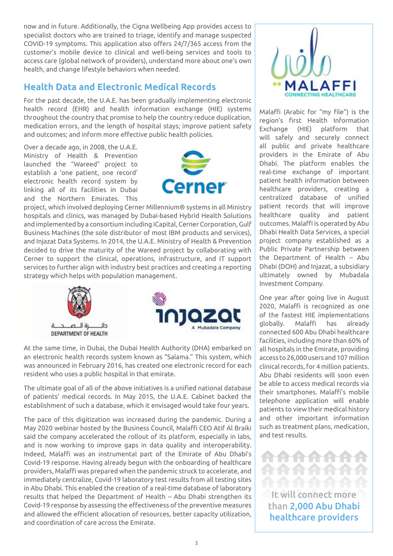now and in future. Additionally, the Cigna Wellbeing App provides access to specialist doctors who are trained to triage, identify and manage suspected COVID-19 symptoms. This application also offers 24/7/365 access from the customer's mobile device to clinical and well-being services and tools to access care (global network of providers), understand more about one's own health, and change lifestyle behaviors when needed.

# **Health Data and Electronic Medical Records**

For the past decade, the U.A.E. has been gradually implementing electronic health record (EHR) and health information exchange (HIE) systems throughout the country that promise to help the country reduce duplication, medication errors, and the length of hospital stays; improve patient safety and outcomes; and inform more effective public health policies.

Over a decade ago, in 2008, the U.A.E. Ministry of Health & Prevention launched the "Wareed" project to establish a 'one patient, one record' electronic health record system by linking all of its facilities in Dubai and the Northern Emirates. This



project, which involved deploying Cerner Millennium® systems in all Ministry hospitals and clinics, was managed by Dubai-based Hybrid Health Solutions and implemented by a consortium including iCapital, Cerner Corporation, Gulf Business Machines (the sole distributor of most IBM products and services), and Injazat Data Systems. In 2014, the U.A.E. Ministry of Health & Prevention decided to drive the maturity of the Wareed project by collaborating with Cerner to support the clinical, operations, infrastructure, and IT support services to further align with industry best practices and creating a reporting strategy which helps with population management.





At the same time, in Dubai, the Dubai Health Authority (DHA) embarked on an electronic health records system known as "Salama." This system, which was announced in February 2016, has created one electronic record for each resident who uses a public hospital in that emirate.

The ultimate goal of all of the above initiatives is a unified national database of patients' medical records. In May 2015, the U.A.E. Cabinet backed the establishment of such a database, which it envisaged would take four years.

The pace of this digitization was increased during the pandemic. During a May 2020 webinar hosted by the Business Council, Malaffi CEO Atif Al Braiki said the company accelerated the rollout of its platform, especially in labs, and is now working to improve gaps in data quality and interoperability. Indeed, Malaffi was an instrumental part of the Emirate of Abu Dhabi's Covid-19 response. Having already begun with the onboarding of healthcare providers, Malaffi was prepared when the pandemic struck to accelerate, and immediately centralize, Covid-19 laboratory test results from all testing sites in Abu Dhabi. This enabled the creation of a real-time database of laboratory results that helped the Department of Health – Abu Dhabi strengthen its Covid-19 response by assessing the effectiveness of the preventive measures and allowed the efficient allocation of resources, better capacity utilization, and coordination of care across the Emirate.



Malaffi (Arabic for "my file") is the region's first Health Information Exchange (HIE) platform that will safely and securely connect all public and private healthcare providers in the Emirate of Abu Dhabi. The platform enables the real-time exchange of important patient health information between healthcare providers, creating a centralized database of unified patient records that will improve healthcare quality and patient outcomes. Malaffi is operated by Abu Dhabi Health Data Services, a special project company established as a Public Private Partnership between the Department of Health – Abu Dhabi (DOH) and Injazat, a subsidiary ultimately owned by Mubadala Investment Company.

One year after going live in August 2020, Malaffi is recognized as one of the fastest HIE implementations globally. Malaffi has already connected 600 Abu Dhabi healthcare facilities, including more than 60% of all hospitals in the Emirate, providing access to 26,000 users and 107 million clinical records, for 4 million patients. Abu Dhabi residents will soon even be able to access medical records via their smartphones. Malaffi's mobile telephone application will enable patients to view their medical history and other important information such as treatment plans, medication, and test results.



It will connect more than 2,000 Abu Dhabi healthcare providers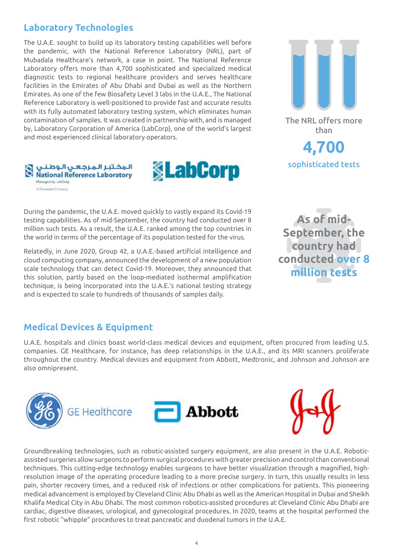### **Laboratory Technologies**

The U.A.E. sought to build up its laboratory testing capabilities well before the pandemic, with the National Reference Laboratory (NRL), part of Mubadala Healthcare's network, a case in point. The National Reference Laboratory offers more than 4,700 sophisticated and specialized medical diagnostic tests to regional healthcare providers and serves healthcare facilities in the Emirates of Abu Dhabi and Dubai as well as the Northern Emirates. As one of the few Biosafety Level 3 labs in the U.A.E., The National Reference Laboratory is well-positioned to provide fast and accurate results with its fully automated laboratory testing system, which eliminates human contamination of samples. It was created in partnership with, and is managed by, Laboratory Corporation of America (LabCorp), one of the world's largest and most experienced clinical laboratory operators.



During the pandemic, the U.A.E. moved quickly to vastly expand its Covid-19 testing capabilities. As of mid-September, the country had conducted over 8 million such tests. As a result, the U.A.E. ranked among the top countries in the world in terms of the percentage of its population tested for the virus.

Relatedly, in June 2020, Group 42, a U.A.E.-based artificial intelligence and cloud computing company, announced the development of a new population scale technology that can detect Covid-19. Moreover, they announced that this solution, partly based on the loop-mediated isothermal amplification technique, is being incorporated into the U.A.E.'s national testing strategy and is expected to scale to hundreds of thousands of samples daily.

**As of mid-September, the country had conducted over 8 million tests**

#### **Medical Devices & Equipment**

المخلبر المرجعن الوطنا **National Reference Laboratory** 

Managed by LabCord A Musadala Company

U.A.E. hospitals and clinics boast world-class medical devices and equipment, often procured from leading U.S. companies. GE Healthcare, for instance, has deep relationships in the U.A.E., and its MRI scanners proliferate throughout the country. Medical devices and equipment from Abbott, Medtronic, and Johnson and Johnson are also omnipresent.

**<u>***<u>SLabCorp</u>*</u>



Groundbreaking technologies, such as robotic-assisted surgery equipment, are also present in the U.A.E. Roboticassisted surgeries allow surgeons to perform surgical procedures with greater precision and control than conventional techniques. This cutting-edge technology enables surgeons to have better visualization through a magnified, highresolution image of the operating procedure leading to a more precise surgery. In turn, this usually results in less pain, shorter recovery times, and a reduced risk of infections or other complications for patients. This pioneering medical advancement is employed by Cleveland Clinic Abu Dhabi as well as the American Hospital in Dubai and Sheikh Khalifa Medical City in Abu Dhabi. The most common robotics-assisted procedures at Cleveland Clinic Abu Dhabi are cardiac, digestive diseases, urological, and gynecological procedures. In 2020, teams at the hospital performed the first robotic "whipple" procedures to treat pancreatic and duodenal tumors in the U.A.E.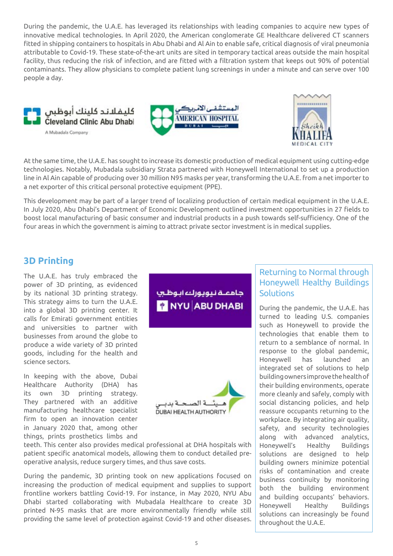During the pandemic, the U.A.E. has leveraged its relationships with leading companies to acquire new types of innovative medical technologies. In April 2020, the American conglomerate GE Healthcare delivered CT scanners fitted in shipping containers to hospitals in Abu Dhabi and Al Ain to enable safe, critical diagnosis of viral pneumonia attributable to Covid-19. These state-of-the-art units are sited in temporary tactical areas outside the main hospital facility, thus reducing the risk of infection, and are fitted with a filtration system that keeps out 90% of potential contaminants. They allow physicians to complete patient lung screenings in under a minute and can serve over 100 people a day.







At the same time, the U.A.E. has sought to increase its domestic production of medical equipment using cutting-edge technologies. Notably, Mubadala subsidiary Strata partnered with Honeywell International to set up a production line in Al Ain capable of producing over 30 million N95 masks per year, transforming the U.A.E. from a net importer to a net exporter of this critical personal protective equipment (PPE).

This development may be part of a larger trend of localizing production of certain medical equipment in the U.A.E. In July 2020, Abu Dhabi's Department of Economic Development outlined investment opportunities in 27 fields to boost local manufacturing of basic consumer and industrial products in a push towards self-sufficiency. One of the four areas in which the government is aiming to attract private sector investment is in medical supplies.

#### **3D Printing**

The U.A.E. has truly embraced the power of 3D printing, as evidenced by its national 3D printing strategy. This strategy aims to turn the U.A.E. into a global 3D printing center. It calls for Emirati government entities and universities to partner with businesses from around the globe to produce a wide variety of 3D printed goods, including for the health and science sectors.

In keeping with the above, Dubai Healthcare Authority (DHA) has its own 3D printing strategy. They partnered with an additive manufacturing healthcare specialist firm to open an innovation center in January 2020 that, among other things, prints prosthetics limbs and جامعية نيويورك ايوظرب **\*** NYU ABU DHABI



teeth. This center also provides medical professional at DHA hospitals with patient specific anatomical models, allowing them to conduct detailed preoperative analysis, reduce surgery times, and thus save costs.

During the pandemic, 3D printing took on new applications focused on increasing the production of medical equipment and supplies to support frontline workers battling Covid-19. For instance, in May 2020, NYU Abu Dhabi started collaborating with Mubadala Healthcare to create 3D printed N-95 masks that are more environmentally friendly while still providing the same level of protection against Covid-19 and other diseases.

#### Returning to Normal through Honeywell Healthy Buildings Solutions

During the pandemic, the U.A.E. has turned to leading U.S. companies such as Honeywell to provide the technologies that enable them to return to a semblance of normal. In response to the global pandemic, Honeywell has launched an integrated set of solutions to help building owners improve the health of their building environments, operate more cleanly and safely, comply with social distancing policies, and help reassure occupants returning to the workplace. By integrating air quality, safety, and security technologies along with advanced analytics, Honeywell's Healthy Buildings solutions are designed to help building owners minimize potential risks of contamination and create business continuity by monitoring both the building environment and building occupants' behaviors. Honeywell Healthy Buildings solutions can increasingly be found throughout the U.A.E.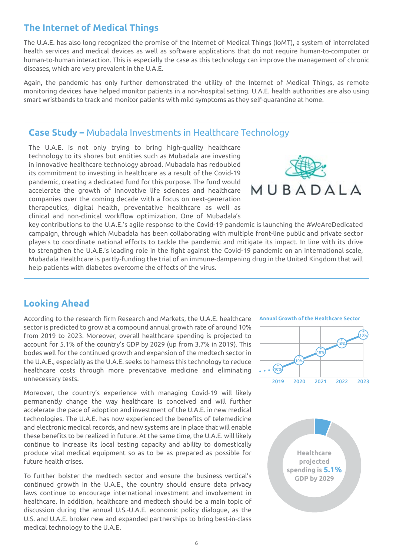#### **The Internet of Medical Things**

The U.A.E. has also long recognized the promise of the Internet of Medical Things (IoMT), a system of interrelated health services and medical devices as well as software applications that do not require human-to-computer or human-to-human interaction. This is especially the case as this technology can improve the management of chronic diseases, which are very prevalent in the U.A.E.

Again, the pandemic has only further demonstrated the utility of the Internet of Medical Things, as remote monitoring devices have helped monitor patients in a non-hospital setting. U.A.E. health authorities are also using smart wristbands to track and monitor patients with mild symptoms as they self-quarantine at home.

#### **Case Study –** Mubadala Investments in Healthcare Technology

The U.A.E. is not only trying to bring high-quality healthcare technology to its shores but entities such as Mubadala are investing in innovative healthcare technology abroad. Mubadala has redoubled its commitment to investing in healthcare as a result of the Covid-19 pandemic, creating a dedicated fund for this purpose. The fund would accelerate the growth of innovative life sciences and healthcare companies over the coming decade with a focus on next-generation therapeutics, digital health, preventative healthcare as well as clinical and non-clinical workflow optimization. One of Mubadala's



key contributions to the U.A.E.'s agile response to the Covid-19 pandemic is launching the #WeAreDedicated campaign, through which Mubadala has been collaborating with multiple front-line public and private sector players to coordinate national efforts to tackle the pandemic and mitigate its impact. In line with its drive to strengthen the U.A.E.'s leading role in the fight against the Covid-19 pandemic on an international scale, Mubadala Healthcare is partly-funding the trial of an immune-dampening drug in the United Kingdom that will help patients with diabetes overcome the effects of the virus.

# **Looking Ahead**

According to the research firm Research and Markets, the U.A.E. healthcare sector is predicted to grow at a compound annual growth rate of around 10% from 2019 to 2023. Moreover, overall healthcare spending is projected to account for 5.1% of the country's GDP by 2029 (up from 3.7% in 2019). This bodes well for the continued growth and expansion of the medtech sector in the U.A.E., especially as the U.A.E. seeks to harness this technology to reduce healthcare costs through more preventative medicine and eliminating unnecessary tests.

Moreover, the country's experience with managing Covid-19 will likely permanently change the way healthcare is conceived and will further accelerate the pace of adoption and investment of the U.A.E. in new medical technologies. The U.A.E. has now experienced the benefits of telemedicine and electronic medical records, and new systems are in place that will enable these benefits to be realized in future. At the same time, the U.A.E. will likely continue to increase its local testing capacity and ability to domestically produce vital medical equipment so as to be as prepared as possible for future health crises.

To further bolster the medtech sector and ensure the business vertical's continued growth in the U.A.E., the country should ensure data privacy laws continue to encourage international investment and involvement in healthcare. In addition, healthcare and medtech should be a main topic of discussion during the annual U.S.-U.A.E. economic policy dialogue, as the U.S. and U.A.E. broker new and expanded partnerships to bring best-in-class medical technology to the U.A.E.